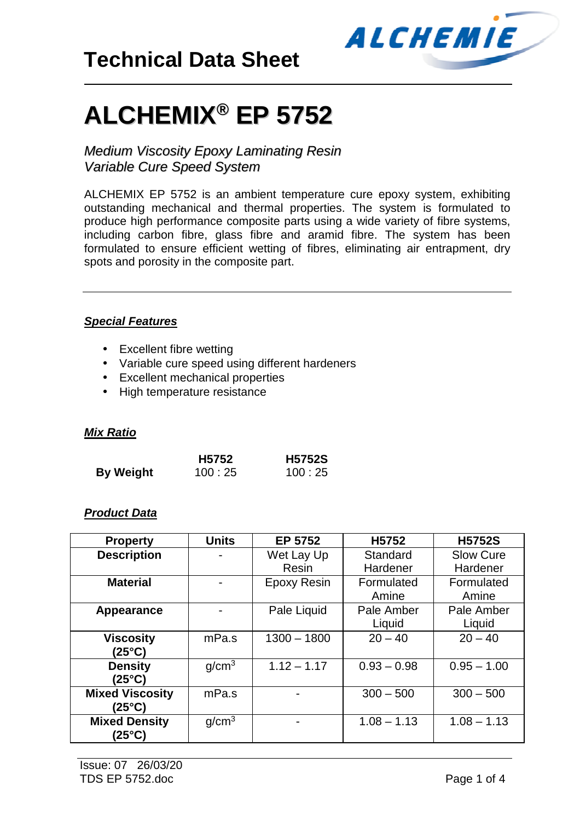

# **ALCHEMIX ® EP 5752**

*Medium Viscosity Epoxy Laminating Resin Variable Cure Speed System*

ALCHEMIX EP 5752 is an ambient temperature cure epoxy system, exhibiting outstanding mechanical and thermal properties. The system is formulated to produce high performance composite parts using a wide variety of fibre systems, including carbon fibre, glass fibre and aramid fibre. The system has been formulated to ensure efficient wetting of fibres, eliminating air entrapment, dry spots and porosity in the composite part.

#### *Special Features*

- Excellent fibre wetting
- Variable cure speed using different hardeners
- Excellent mechanical properties
- High temperature resistance

#### *Mix Ratio*

|                  | H <sub>5752</sub> | <b>H5752S</b> |  |
|------------------|-------------------|---------------|--|
| <b>By Weight</b> | 100:25            | 100:25        |  |

#### *Product Data*

| <b>Property</b>        | <b>Units</b>      | EP 5752                  | H <sub>5752</sub> | <b>H5752S</b>    |
|------------------------|-------------------|--------------------------|-------------------|------------------|
| <b>Description</b>     |                   | Wet Lay Up               | Standard          | <b>Slow Cure</b> |
|                        |                   | Resin                    | Hardener          | Hardener         |
| <b>Material</b>        |                   | <b>Epoxy Resin</b>       | Formulated        | Formulated       |
|                        |                   |                          | Amine             | Amine            |
| Appearance             |                   | Pale Liquid              | Pale Amber        | Pale Amber       |
|                        |                   |                          | Liquid            | Liquid           |
| <b>Viscosity</b>       | mPa.s             | $1300 - 1800$            | $20 - 40$         | $20 - 40$        |
| (25°C)                 |                   |                          |                   |                  |
| <b>Density</b>         | g/cm <sup>3</sup> | $1.12 - 1.17$            | $0.93 - 0.98$     | $0.95 - 1.00$    |
| (25°C)                 |                   |                          |                   |                  |
| <b>Mixed Viscosity</b> | mPa.s             |                          | $300 - 500$       | $300 - 500$      |
| (25°C)                 |                   |                          |                   |                  |
| <b>Mixed Density</b>   | q/cm <sup>3</sup> | $\overline{\phantom{0}}$ | $1.08 - 1.13$     | $1.08 - 1.13$    |
| (25°C)                 |                   |                          |                   |                  |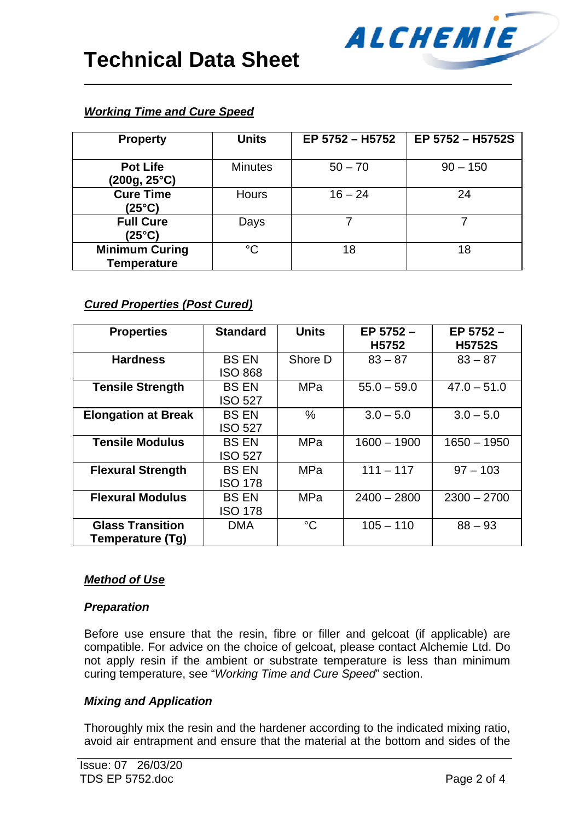| <b>Property</b>                             | <b>Units</b>   | EP 5752 - H5752 | EP 5752 - H5752S |
|---------------------------------------------|----------------|-----------------|------------------|
| <b>Pot Life</b><br>(200g, 25°C)             | <b>Minutes</b> | $50 - 70$       | $90 - 150$       |
| <b>Cure Time</b><br>(25°C)                  | <b>Hours</b>   | $16 - 24$       | 24               |
| <b>Full Cure</b><br>(25°C)                  | Days           |                 |                  |
| <b>Minimum Curing</b><br><b>Temperature</b> | $^{\circ}C$    | 18              | 18               |

ALCHEMIE

# *Working Time and Cure Speed*

# *Cured Properties (Post Cured)*

| <b>Properties</b>          | <b>Standard</b> | <b>Units</b> | EP 5752 -     | EP 5752-      |
|----------------------------|-----------------|--------------|---------------|---------------|
|                            |                 |              | H5752         | <b>H5752S</b> |
| <b>Hardness</b>            | <b>BS EN</b>    | Shore D      | $83 - 87$     | $83 - 87$     |
|                            | <b>ISO 868</b>  |              |               |               |
| <b>Tensile Strength</b>    | <b>BS EN</b>    | <b>MPa</b>   | $55.0 - 59.0$ | $47.0 - 51.0$ |
|                            | <b>ISO 527</b>  |              |               |               |
| <b>Elongation at Break</b> | <b>BS EN</b>    | $\%$         | $3.0 - 5.0$   | $3.0 - 5.0$   |
|                            | <b>ISO 527</b>  |              |               |               |
| <b>Tensile Modulus</b>     | <b>BS EN</b>    | <b>MPa</b>   | $1600 - 1900$ | $1650 - 1950$ |
|                            | <b>ISO 527</b>  |              |               |               |
| <b>Flexural Strength</b>   | <b>BS EN</b>    | <b>MPa</b>   | $111 - 117$   | $97 - 103$    |
|                            | ISO 178         |              |               |               |
| <b>Flexural Modulus</b>    | <b>BS EN</b>    | <b>MPa</b>   | $2400 - 2800$ | $2300 - 2700$ |
|                            | <b>ISO 178</b>  |              |               |               |
| <b>Glass Transition</b>    | <b>DMA</b>      | $^{\circ}C$  | $105 - 110$   | $88 - 93$     |
| Temperature (Tg)           |                 |              |               |               |

# *Method of Use*

#### *Preparation*

Before use ensure that the resin, fibre or filler and gelcoat (if applicable) are compatible. For advice on the choice of gelcoat, please contact Alchemie Ltd. Do not apply resin if the ambient or substrate temperature is less than minimum curing temperature, see "*Working Time and Cure Speed*" section.

#### *Mixing and Application*

Thoroughly mix the resin and the hardener according to the indicated mixing ratio, avoid air entrapment and ensure that the material at the bottom and sides of the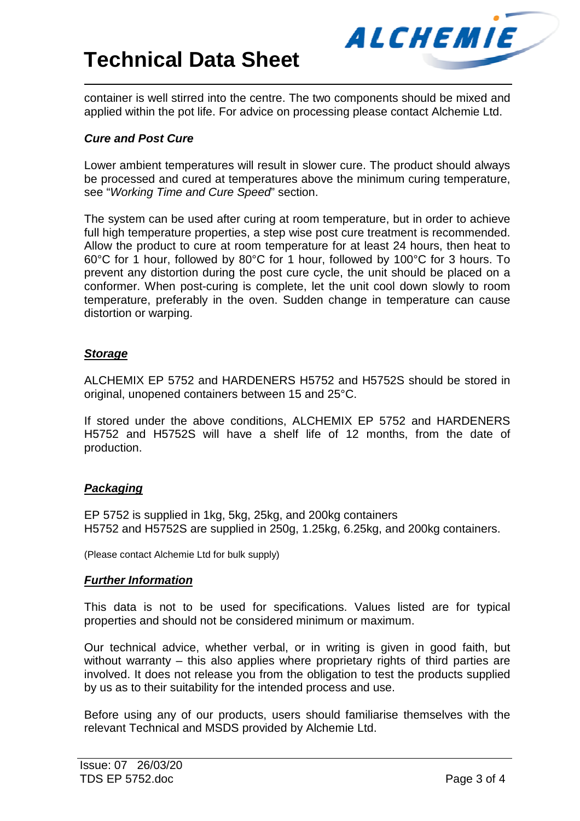

container is well stirred into the centre. The two components should be mixed and applied within the pot life. For advice on processing please contact Alchemie Ltd.

#### *Cure and Post Cure*

Lower ambient temperatures will result in slower cure. The product should always be processed and cured at temperatures above the minimum curing temperature, see "*Working Time and Cure Speed*" section.

The system can be used after curing at room temperature, but in order to achieve full high temperature properties, a step wise post cure treatment is recommended. Allow the product to cure at room temperature for at least 24 hours, then heat to 60°C for 1 hour, followed by 80°C for 1 hour, followed by 100°C for 3 hours. To prevent any distortion during the post cure cycle, the unit should be placed on a conformer. When post-curing is complete, let the unit cool down slowly to room temperature, preferably in the oven. Sudden change in temperature can cause distortion or warping.

### *Storage*

ALCHEMIX EP 5752 and HARDENERS H5752 and H5752S should be stored in original, unopened containers between 15 and 25°C.

If stored under the above conditions, ALCHEMIX EP 5752 and HARDENERS H5752 and H5752S will have a shelf life of 12 months, from the date of production.

# *Packaging*

EP 5752 is supplied in 1kg, 5kg, 25kg, and 200kg containers H5752 and H5752S are supplied in 250g, 1.25kg, 6.25kg, and 200kg containers.

(Please contact Alchemie Ltd for bulk supply)

#### *Further Information*

This data is not to be used for specifications. Values listed are for typical properties and should not be considered minimum or maximum.

Our technical advice, whether verbal, or in writing is given in good faith, but without warranty – this also applies where proprietary rights of third parties are involved. It does not release you from the obligation to test the products supplied by us as to their suitability for the intended process and use.

Before using any of our products, users should familiarise themselves with the relevant Technical and MSDS provided by Alchemie Ltd.